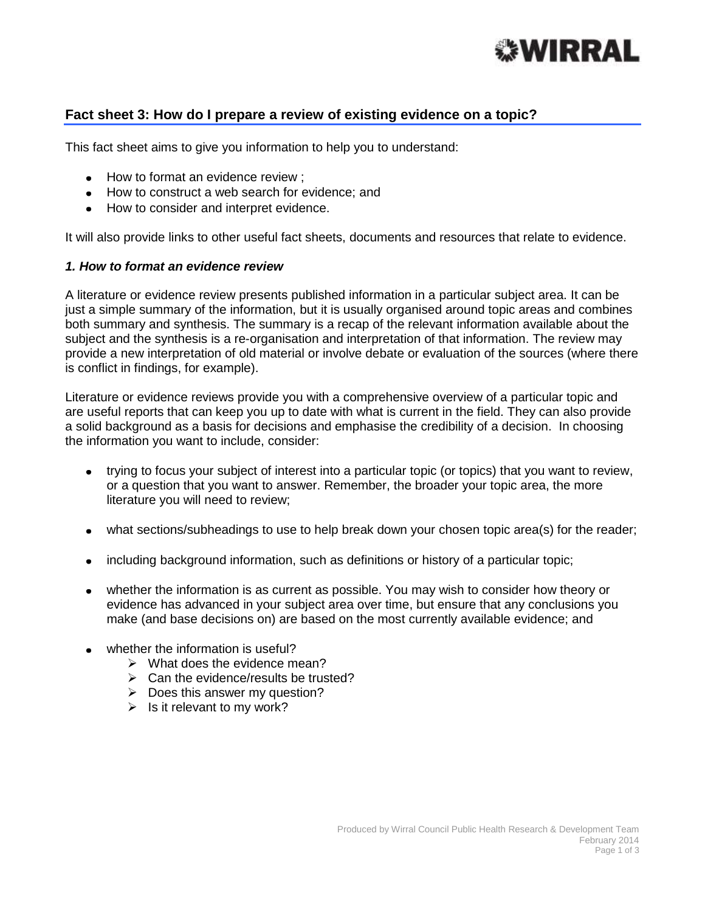

# **Fact sheet 3: How do I prepare a review of existing evidence on a topic?**

This fact sheet aims to give you information to help you to understand:

- How to format an evidence review ;
- How to construct a web search for evidence: and
- How to consider and interpret evidence.

It will also provide links to other useful fact sheets, documents and resources that relate to evidence.

#### *1. How to format an evidence review*

A literature or evidence review presents published information in a particular subject area. It can be just a simple summary of the information, but it is usually organised around topic areas and combines both summary and synthesis. The summary is a recap of the relevant information available about the subject and the synthesis is a re-organisation and interpretation of that information. The review may provide a new interpretation of old material or involve debate or evaluation of the sources (where there is conflict in findings, for example).

Literature or evidence reviews provide you with a comprehensive overview of a particular topic and are useful reports that can keep you up to date with what is current in the field. They can also provide a solid background as a basis for decisions and emphasise the credibility of a decision. In choosing the information you want to include, consider:

- trying to focus your subject of interest into a particular topic (or topics) that you want to review,  $\bullet$ or a question that you want to answer. Remember, the broader your topic area, the more literature you will need to review;
- what sections/subheadings to use to help break down your chosen topic area(s) for the reader;
- including background information, such as definitions or history of a particular topic;  $\bullet$
- whether the information is as current as possible. You may wish to consider how theory or  $\bullet$ evidence has advanced in your subject area over time, but ensure that any conclusions you make (and base decisions on) are based on the most currently available evidence; and
- whether the information is useful?
	- $\triangleright$  What does the evidence mean?
	- $\triangleright$  Can the evidence/results be trusted?
	- $\geqslant$  Does this answer my question?
	- $\triangleright$  Is it relevant to my work?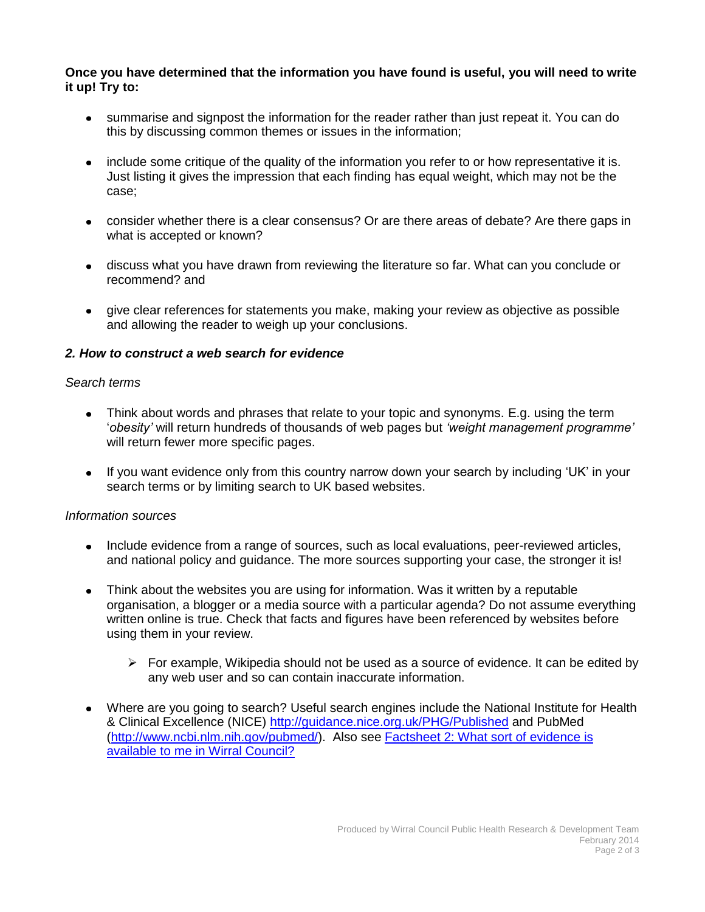### **Once you have determined that the information you have found is useful, you will need to write it up! Try to:**

- summarise and signpost the information for the reader rather than just repeat it. You can do this by discussing common themes or issues in the information;
- include some critique of the quality of the information you refer to or how representative it is. Just listing it gives the impression that each finding has equal weight, which may not be the case;
- consider whether there is a clear consensus? Or are there areas of debate? Are there gaps in what is accepted or known?
- discuss what you have drawn from reviewing the literature so far. What can you conclude or recommend? and
- give clear references for statements you make, making your review as objective as possible and allowing the reader to weigh up your conclusions.

## *2. How to construct a web search for evidence*

### *Search terms*

- Think about words and phrases that relate to your topic and synonyms. E.g. using the term  $\bullet$ '*obesity'* will return hundreds of thousands of web pages but *'weight management programme'* will return fewer more specific pages.
- If you want evidence only from this country narrow down your search by including 'UK' in your search terms or by limiting search to UK based websites.

### *Information sources*

- Include evidence from a range of sources, such as local evaluations, peer-reviewed articles, and national policy and guidance. The more sources supporting your case, the stronger it is!
- Think about the websites you are using for information. Was it written by a reputable organisation, a blogger or a media source with a particular agenda? Do not assume everything written online is true. Check that facts and figures have been referenced by websites before using them in your review.
	- $\triangleright$  For example, Wikipedia should not be used as a source of evidence. It can be edited by any web user and so can contain inaccurate information.
- Where are you going to search? Useful search engines include the National Institute for Health & Clinical Excellence (NICE)<http://guidance.nice.org.uk/PHG/Published> and PubMed [\(http://www.ncbi.nlm.nih.gov/pubmed/\)](http://www.ncbi.nlm.nih.gov/pubmed/). Also see [Factsheet 2: What sort of evidence is](http://info.wirral.nhs.uk/intelligencehub/howtofact-sheetsonevidence&research.html)  [available to me in Wirral](http://info.wirral.nhs.uk/intelligencehub/howtofact-sheetsonevidence&research.html) Council?